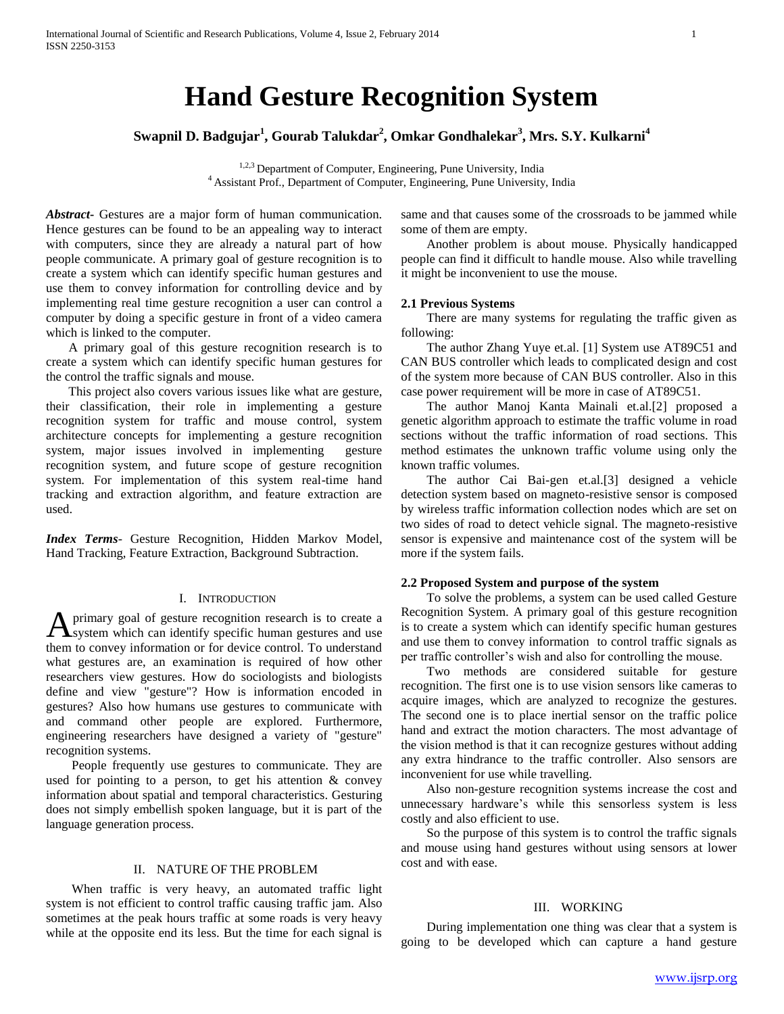# **Hand Gesture Recognition System**

# **Swapnil D. Badgujar<sup>1</sup> , Gourab Talukdar<sup>2</sup> , Omkar Gondhalekar<sup>3</sup> , Mrs. S.Y. Kulkarni<sup>4</sup>**

<sup>1,2,3</sup> Department of Computer, Engineering, Pune University, India <sup>4</sup> Assistant Prof., Department of Computer, Engineering, Pune University, India

*Abstract***-** Gestures are a major form of human communication. Hence gestures can be found to be an appealing way to interact with computers, since they are already a natural part of how people communicate. A primary goal of gesture recognition is to create a system which can identify specific human gestures and use them to convey information for controlling device and by implementing real time gesture recognition a user can control a computer by doing a specific gesture in front of a video camera which is linked to the computer.

 A primary goal of this gesture recognition research is to create a system which can identify specific human gestures for the control the traffic signals and mouse.

 This project also covers various issues like what are gesture, their classification, their role in implementing a gesture recognition system for traffic and mouse control, system architecture concepts for implementing a gesture recognition system, major issues involved in implementing gesture recognition system, and future scope of gesture recognition system. For implementation of this system real-time hand tracking and extraction algorithm, and feature extraction are used.

*Index Terms*- Gesture Recognition, Hidden Markov Model, Hand Tracking, Feature Extraction, Background Subtraction.

# I. INTRODUCTION

primary goal of gesture recognition research is to create a **A** primary goal of gesture recognition research is to create a system which can identify specific human gestures and use them to convey information or for device control. To understand what gestures are, an examination is required of how other researchers view gestures. How do sociologists and biologists define and view "gesture"? How is information encoded in gestures? Also how humans use gestures to communicate with and command other people are explored. Furthermore, engineering researchers have designed a variety of "gesture" recognition systems.

 People frequently use gestures to communicate. They are used for pointing to a person, to get his attention  $\&$  convey information about spatial and temporal characteristics. Gesturing does not simply embellish spoken language, but it is part of the language generation process.

# II. NATURE OF THE PROBLEM

 When traffic is very heavy, an automated traffic light system is not efficient to control traffic causing traffic jam. Also sometimes at the peak hours traffic at some roads is very heavy while at the opposite end its less. But the time for each signal is

same and that causes some of the crossroads to be jammed while some of them are empty.

 Another problem is about mouse. Physically handicapped people can find it difficult to handle mouse. Also while travelling it might be inconvenient to use the mouse.

# **2.1 Previous Systems**

 There are many systems for regulating the traffic given as following:

 The author Zhang Yuye et.al. [1] System use AT89C51 and CAN BUS controller which leads to complicated design and cost of the system more because of CAN BUS controller. Also in this case power requirement will be more in case of AT89C51.

 The author Manoj Kanta Mainali et.al.[2] proposed a genetic algorithm approach to estimate the traffic volume in road sections without the traffic information of road sections. This method estimates the unknown traffic volume using only the known traffic volumes.

 The author Cai Bai-gen et.al.[3] designed a vehicle detection system based on magneto-resistive sensor is composed by wireless traffic information collection nodes which are set on two sides of road to detect vehicle signal. The magneto-resistive sensor is expensive and maintenance cost of the system will be more if the system fails.

## **2.2 Proposed System and purpose of the system**

 To solve the problems, a system can be used called Gesture Recognition System. A primary goal of this gesture recognition is to create a system which can identify specific human gestures and use them to convey information to control traffic signals as per traffic controller's wish and also for controlling the mouse.

 Two methods are considered suitable for gesture recognition. The first one is to use vision sensors like cameras to acquire images, which are analyzed to recognize the gestures. The second one is to place inertial sensor on the traffic police hand and extract the motion characters. The most advantage of the vision method is that it can recognize gestures without adding any extra hindrance to the traffic controller. Also sensors are inconvenient for use while travelling.

 Also non-gesture recognition systems increase the cost and unnecessary hardware's while this sensorless system is less costly and also efficient to use.

 So the purpose of this system is to control the traffic signals and mouse using hand gestures without using sensors at lower cost and with ease.

# III. WORKING

 During implementation one thing was clear that a system is going to be developed which can capture a hand gesture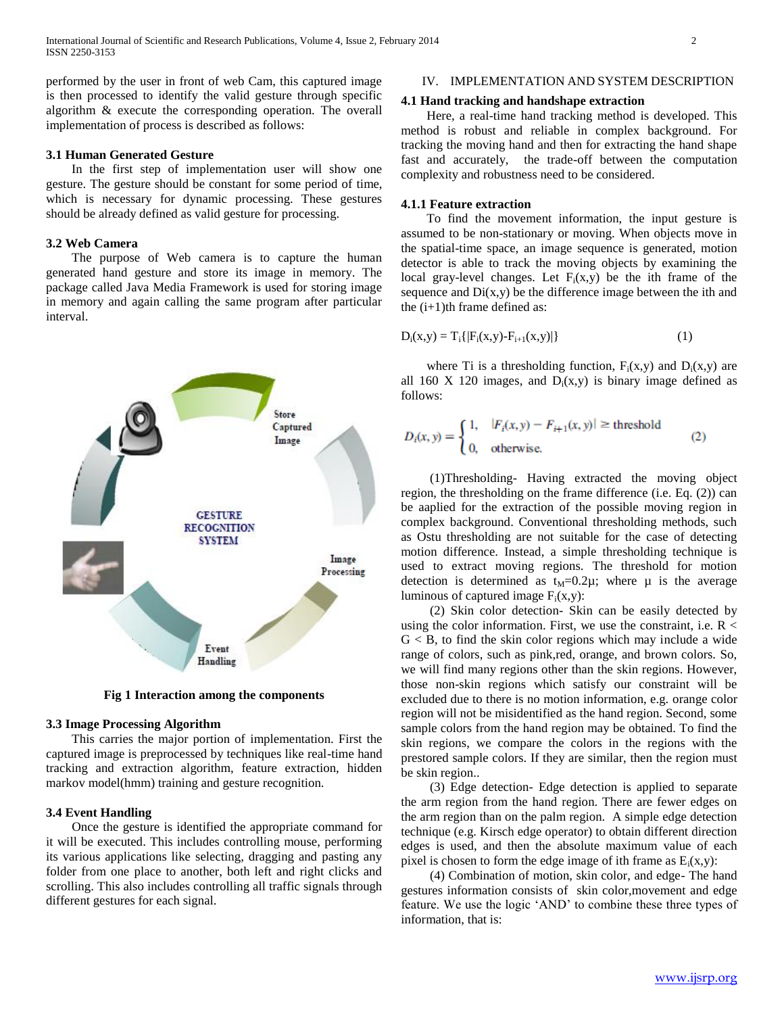performed by the user in front of web Cam, this captured image is then processed to identify the valid gesture through specific algorithm & execute the corresponding operation. The overall implementation of process is described as follows:

# **3.1 Human Generated Gesture**

 In the first step of implementation user will show one gesture. The gesture should be constant for some period of time, which is necessary for dynamic processing. These gestures should be already defined as valid gesture for processing.

# **3.2 Web Camera**

 The purpose of Web camera is to capture the human generated hand gesture and store its image in memory. The package called Java Media Framework is used for storing image in memory and again calling the same program after particular interval.



**Fig 1 Interaction among the components**

# **3.3 Image Processing Algorithm**

 This carries the major portion of implementation. First the captured image is preprocessed by techniques like real-time hand tracking and extraction algorithm, feature extraction, hidden markov model(hmm) training and gesture recognition.

#### **3.4 Event Handling**

 Once the gesture is identified the appropriate command for it will be executed. This includes controlling mouse, performing its various applications like selecting, dragging and pasting any folder from one place to another, both left and right clicks and scrolling. This also includes controlling all traffic signals through different gestures for each signal.

# IV. IMPLEMENTATION AND SYSTEM DESCRIPTION

#### **4.1 Hand tracking and handshape extraction**

 Here, a real-time hand tracking method is developed. This method is robust and reliable in complex background. For tracking the moving hand and then for extracting the hand shape fast and accurately, the trade-off between the computation complexity and robustness need to be considered.

# **4.1.1 Feature extraction**

 To find the movement information, the input gesture is assumed to be non-stationary or moving. When objects move in the spatial-time space, an image sequence is generated, motion detector is able to track the moving objects by examining the local gray-level changes. Let  $F_i(x,y)$  be the ith frame of the sequence and  $Di(x,y)$  be the difference image between the ith and the  $(i+1)$ th frame defined as:

$$
D_i(x,y) = T_i\{|F_i(x,y) - F_{i+1}(x,y)|\}
$$
 (1)

where Ti is a thresholding function,  $F_i(x,y)$  and  $D_i(x,y)$  are all 160 X 120 images, and  $D_i(x,y)$  is binary image defined as follows:

$$
D_i(x, y) = \begin{cases} 1, & |F_i(x, y) - F_{i+1}(x, y)| \ge \text{threshold} \\ 0, & \text{otherwise.} \end{cases}
$$
 (2)

 (1)Thresholding- Having extracted the moving object region, the thresholding on the frame difference (i.e. Eq. (2)) can be aaplied for the extraction of the possible moving region in complex background. Conventional thresholding methods, such as Ostu thresholding are not suitable for the case of detecting motion difference. Instead, a simple thresholding technique is used to extract moving regions. The threshold for motion detection is determined as  $t_M=0.2\mu$ ; where  $\mu$  is the average luminous of captured image  $F_i(x,y)$ :

 (2) Skin color detection- Skin can be easily detected by using the color information. First, we use the constraint, i.e.  $R <$  $G < B$ , to find the skin color regions which may include a wide range of colors, such as pink,red, orange, and brown colors. So, we will find many regions other than the skin regions. However, those non-skin regions which satisfy our constraint will be excluded due to there is no motion information, e.g. orange color region will not be misidentified as the hand region. Second, some sample colors from the hand region may be obtained. To find the skin regions, we compare the colors in the regions with the prestored sample colors. If they are similar, then the region must be skin region..

 (3) Edge detection- Edge detection is applied to separate the arm region from the hand region. There are fewer edges on the arm region than on the palm region. A simple edge detection technique (e.g. Kirsch edge operator) to obtain different direction edges is used, and then the absolute maximum value of each pixel is chosen to form the edge image of ith frame as  $E_i(x,y)$ :

 (4) Combination of motion, skin color, and edge- The hand gestures information consists of skin color,movement and edge feature. We use the logic 'AND' to combine these three types of information, that is: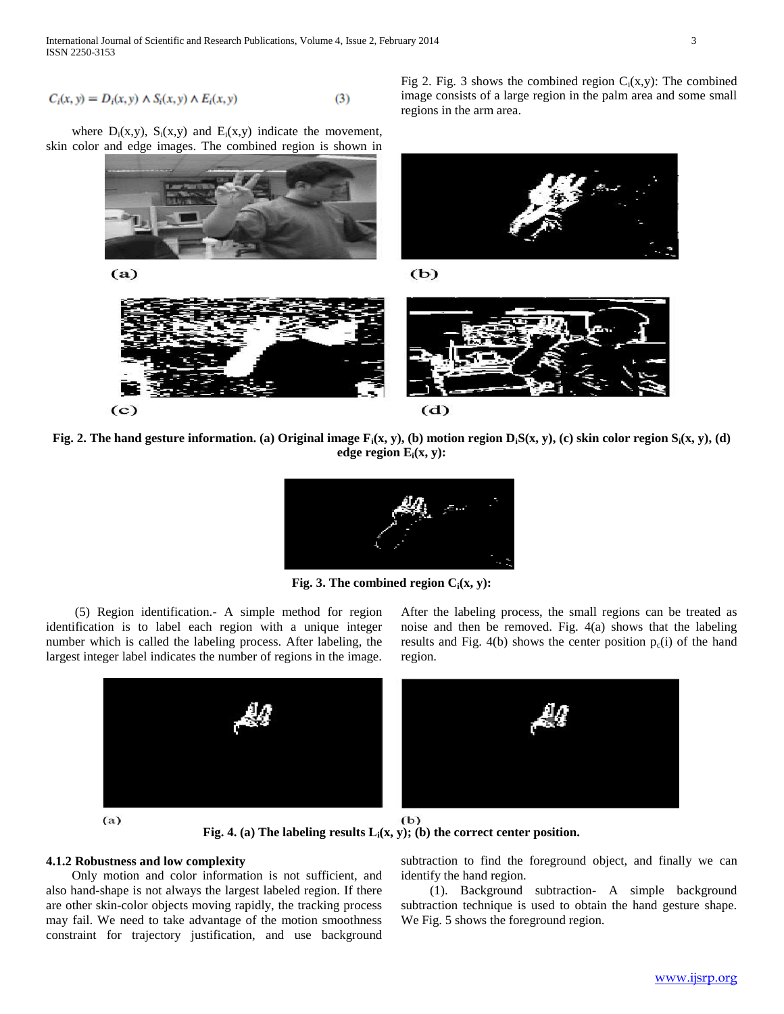$$
C_i(x, y) = D_i(x, y) \wedge S_i(x, y) \wedge E_i(x, y) \tag{3}
$$

where  $D_i(x,y)$ ,  $S_i(x,y)$  and  $E_i(x,y)$  indicate the movement, skin color and edge images. The combined region is shown in



regions in the arm area.

**Fig. 2. The hand gesture information. (a) Original image Fi(x, y), (b) motion region DiS(x, y), (c) skin color region Si(x, y), (d) edge region Ei(x, y):**



**Fig. 3. The combined region Ci(x, y):**

 (5) Region identification.- A simple method for region identification is to label each region with a unique integer number which is called the labeling process. After labeling, the largest integer label indicates the number of regions in the image. After the labeling process, the small regions can be treated as noise and then be removed. Fig. 4(a) shows that the labeling results and Fig. 4(b) shows the center position  $p_c(i)$  of the hand region.

Fig 2. Fig. 3 shows the combined region  $C_i(x,y)$ : The combined image consists of a large region in the palm area and some small





 $(b)$ **Fig. 4. (a) The labeling results Li(x, y); (b) the correct center position.**

# **4.1.2 Robustness and low complexity**

 Only motion and color information is not sufficient, and also hand-shape is not always the largest labeled region. If there are other skin-color objects moving rapidly, the tracking process may fail. We need to take advantage of the motion smoothness constraint for trajectory justification, and use background

subtraction to find the foreground object, and finally we can identify the hand region.

 (1). Background subtraction- A simple background subtraction technique is used to obtain the hand gesture shape. We Fig. 5 shows the foreground region.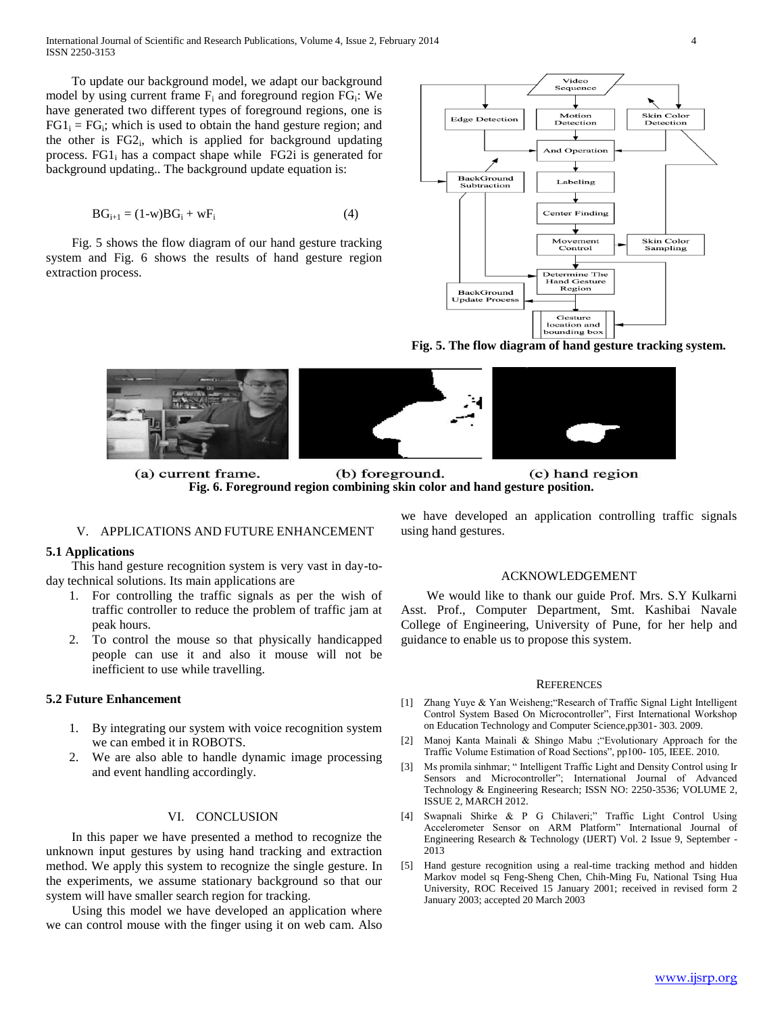To update our background model, we adapt our background model by using current frame  $F_i$  and foreground region  $FG_i$ : We have generated two different types of foreground regions, one is  $FG1<sub>i</sub> = FG<sub>i</sub>$ ; which is used to obtain the hand gesture region; and the other is FG2<sub>i</sub>, which is applied for background updating process.  $FGI_i$  has a compact shape while  $FG2i$  is generated for background updating.. The background update equation is:

$$
BG_{i+1} = (1-w)BG_i + wF_i \tag{4}
$$

 Fig. 5 shows the flow diagram of our hand gesture tracking system and Fig. 6 shows the results of hand gesture region extraction process.



**Fig. 5. The flow diagram of hand gesture tracking system.**



(a) current frame. (b) foreground. (c) hand region **Fig. 6. Foreground region combining skin color and hand gesture position.**

#### V. APPLICATIONS AND FUTURE ENHANCEMENT

## **5.1 Applications**

 This hand gesture recognition system is very vast in day-today technical solutions. Its main applications are

- 1. For controlling the traffic signals as per the wish of traffic controller to reduce the problem of traffic jam at peak hours.
- 2. To control the mouse so that physically handicapped people can use it and also it mouse will not be inefficient to use while travelling.

# **5.2 Future Enhancement**

- 1. By integrating our system with voice recognition system we can embed it in ROBOTS.
- 2. We are also able to handle dynamic image processing and event handling accordingly.

# VI. CONCLUSION

 In this paper we have presented a method to recognize the unknown input gestures by using hand tracking and extraction method. We apply this system to recognize the single gesture. In the experiments, we assume stationary background so that our system will have smaller search region for tracking.

 Using this model we have developed an application where we can control mouse with the finger using it on web cam. Also we have developed an application controlling traffic signals using hand gestures.

#### ACKNOWLEDGEMENT

 We would like to thank our guide Prof. Mrs. S.Y Kulkarni Asst. Prof., Computer Department, Smt. Kashibai Navale College of Engineering, University of Pune, for her help and guidance to enable us to propose this system.

#### **REFERENCES**

- [1] Zhang Yuye & Yan Weisheng;"Research of Traffic Signal Light Intelligent Control System Based On Microcontroller", First International Workshop on Education Technology and Computer Science,pp301- 303. 2009.
- [2] Manoj Kanta Mainali & Shingo Mabu ;"Evolutionary Approach for the Traffic Volume Estimation of Road Sections", pp100- 105, IEEE. 2010.
- [3] Ms promila sinhmar; " Intelligent Traffic Light and Density Control using Ir Sensors and Microcontroller"; International Journal of Advanced Technology & Engineering Research; ISSN NO: 2250-3536; VOLUME 2, ISSUE 2, MARCH 2012.
- [4] Swapnali Shirke & P G Chilaveri;" Traffic Light Control Using Accelerometer Sensor on ARM Platform" International Journal of Engineering Research & Technology (IJERT) Vol. 2 Issue 9, September - 2013
- [5] Hand gesture recognition using a real-time tracking method and hidden Markov model sq Feng-Sheng Chen, Chih-Ming Fu, National Tsing Hua University, ROC Received 15 January 2001; received in revised form 2 January 2003; accepted 20 March 2003